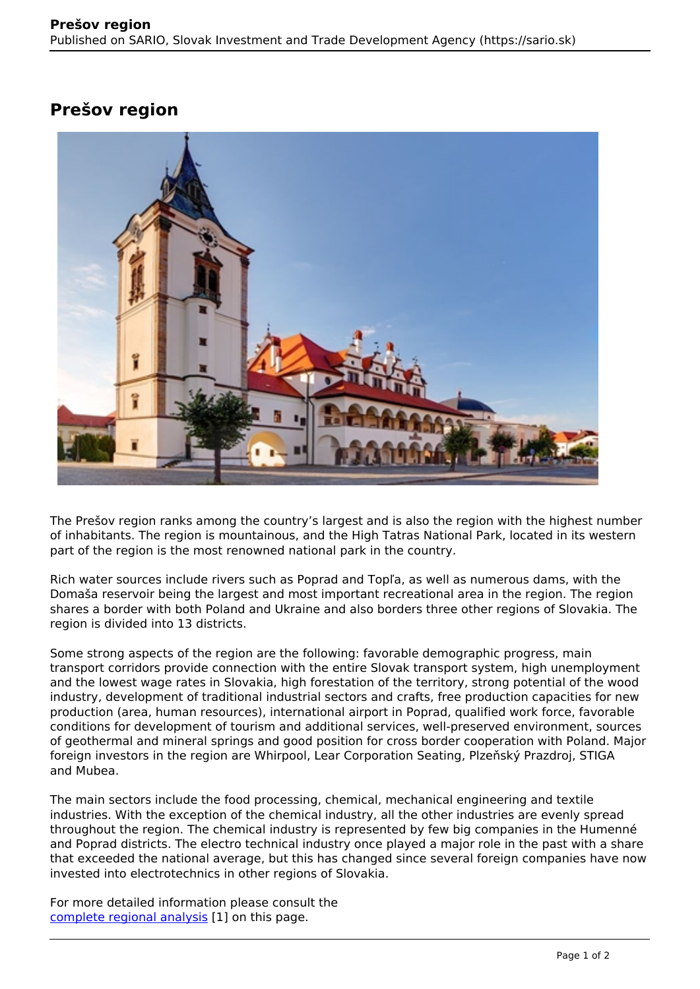## **Prešov region**



The Prešov region ranks among the country's largest and is also the region with the highest number of inhabitants. The region is mountainous, and the High Tatras National Park, located in its western part of the region is the most renowned national park in the country.

Rich water sources include rivers such as Poprad and Topľa, as well as numerous dams, with the Domaša reservoir being the largest and most important recreational area in the region. The region shares a border with both Poland and Ukraine and also borders three other regions of Slovakia. The region is divided into 13 districts.

Some strong aspects of the region are the following: favorable demographic progress, main transport corridors provide connection with the entire Slovak transport system, high unemployment and the lowest wage rates in Slovakia, high forestation of the territory, strong potential of the wood industry, development of traditional industrial sectors and crafts, free production capacities for new production (area, human resources), international airport in Poprad, qualified work force, favorable conditions for development of tourism and additional services, well-preserved environment, sources of geothermal and mineral springs and good position for cross border cooperation with Poland. Major foreign investors in the region are Whirpool, Lear Corporation Seating, Plzeňský Prazdroj, STIGA and Mubea.

The main sectors include the food processing, chemical, mechanical engineering and textile industries. With the exception of the chemical industry, all the other industries are evenly spread throughout the region. The chemical industry is represented by few big companies in the Humenné and Poprad districts. The electro technical industry once played a major role in the past with a share that exceeded the national average, but this has changed since several foreign companies have now invested into electrotechnics in other regions of Slovakia.

For more detailed information please consult the [complete regional analysis](https://www.sario.sk/sites/default/files/content/files/Presov%20Region.pdf) [1] on this page.